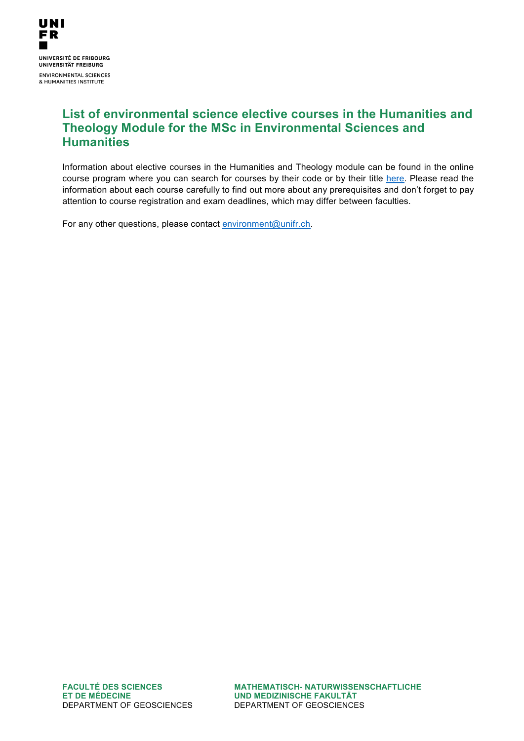

## **List of environmental science elective courses in the Humanities and Theology Module for the MSc in Environmental Sciences and Humanities**

Information about elective courses in the Humanities and Theology module can be found in the online course program where you can search for courses by their code or by their title [here.](https://www3.unifr.ch/timetable/en/?&semestres=244%2C245&page=1) Please read the information about each course carefully to find out more about any prerequisites and don't forget to pay attention to course registration and exam deadlines, which may differ between faculties.

For any other questions, please contact [environment@unifr.ch.](mailto:environment@unifr.ch)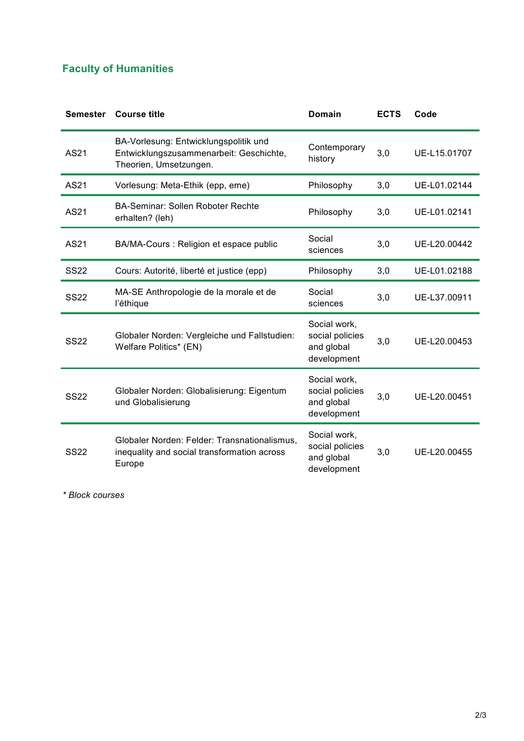## **Faculty of Humanities**

| <b>Semester</b> | <b>Course title</b>                                                                                        | Domain                                                       | <b>ECTS</b> | Code         |
|-----------------|------------------------------------------------------------------------------------------------------------|--------------------------------------------------------------|-------------|--------------|
| AS21            | BA-Vorlesung: Entwicklungspolitik und<br>Entwicklungszusammenarbeit: Geschichte,<br>Theorien, Umsetzungen. | Contemporary<br>history                                      | 3,0         | UE-L15.01707 |
| AS21            | Vorlesung: Meta-Ethik (epp, eme)                                                                           | Philosophy                                                   | 3,0         | UE-L01.02144 |
| AS21            | <b>BA-Seminar: Sollen Roboter Rechte</b><br>erhalten? (leh)                                                | Philosophy                                                   | 3,0         | UE-L01.02141 |
| AS21            | BA/MA-Cours : Religion et espace public                                                                    | Social<br>sciences                                           | 3,0         | UE-L20.00442 |
| <b>SS22</b>     | Cours: Autorité, liberté et justice (epp)                                                                  | Philosophy                                                   | 3,0         | UE-L01.02188 |
| <b>SS22</b>     | MA-SE Anthropologie de la morale et de<br>l'éthique                                                        | Social<br>sciences                                           | 3,0         | UE-L37.00911 |
| <b>SS22</b>     | Globaler Norden: Vergleiche und Fallstudien:<br>Welfare Politics* (EN)                                     | Social work,<br>social policies<br>and global<br>development | 3,0         | UE-L20.00453 |
| <b>SS22</b>     | Globaler Norden: Globalisierung: Eigentum<br>und Globalisierung                                            | Social work,<br>social policies<br>and global<br>development | 3,0         | UE-L20.00451 |
| <b>SS22</b>     | Globaler Norden: Felder: Transnationalismus,<br>inequality and social transformation across<br>Europe      | Social work,<br>social policies<br>and global<br>development | 3,0         | UE-L20.00455 |

*\* Block courses*